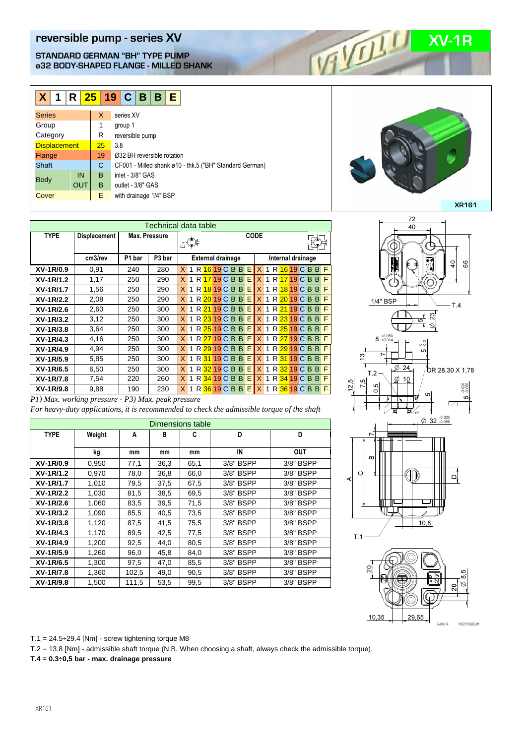## **reversible pump - series XV**<br> **STANDARD GERMAN "BH" TYPE PUMP**<br> **REVALUATED FLANGE - MILLED SHANK**<br> **REVALUATED FLANGE - MILLED SHANK STANDARD GERMAN "BH" TYPE PUMP ø32 BODY-SHAPED FLANGE - MILLED SHANK**

| R <mark>25   19   C   B   B   E</mark><br>$\mathsf{X}$<br>1 |    |     |                            |                   |                                                         |  |  |  |  |  |
|-------------------------------------------------------------|----|-----|----------------------------|-------------------|---------------------------------------------------------|--|--|--|--|--|
| <b>Series</b>                                               | X  |     | series XV                  |                   |                                                         |  |  |  |  |  |
| Group                                                       | 1  |     | group 1                    |                   |                                                         |  |  |  |  |  |
| Category                                                    | R  |     |                            | reversible pump   |                                                         |  |  |  |  |  |
| <b>Displacement</b>                                         | 25 | 3.8 |                            |                   |                                                         |  |  |  |  |  |
| Flange                                                      | 19 |     | Ø32 BH reversible rotation |                   |                                                         |  |  |  |  |  |
| <b>Shaft</b>                                                | C  |     |                            |                   | CF001 - Milled shank ø10 - thk.5 ("BH" Standard German) |  |  |  |  |  |
| IN<br><b>Body</b>                                           | B  |     |                            | inlet - 3/8" GAS  |                                                         |  |  |  |  |  |
| OUT                                                         | B  |     |                            | outlet - 3/8" GAS |                                                         |  |  |  |  |  |
| Cover                                                       | E. |     |                            |                   | with drainage 1/4" BSP                                  |  |  |  |  |  |

| Technical data table |                     |               |                             |                |   |  |                          |  |  |                 |    |              |                   |  |  |  |  |                         |    |
|----------------------|---------------------|---------------|-----------------------------|----------------|---|--|--------------------------|--|--|-----------------|----|--------------|-------------------|--|--|--|--|-------------------------|----|
| <b>TYPE</b>          | <b>Displacement</b> | Max. Pressure | <b>CODE</b><br>$\mathbb{C}$ |                |   |  |                          |  |  |                 |    |              |                   |  |  |  |  |                         |    |
|                      | cm3/rev             | P1 bar        | P <sub>3</sub> bar          |                |   |  | <b>External drainage</b> |  |  |                 |    |              | Internal drainage |  |  |  |  |                         |    |
| XV-1R/0.9            | 0.91                | 240           | 280                         | $\mathsf{X}^-$ | 1 |  |                          |  |  | R 16 19 C B B   | E  |              |                   |  |  |  |  | $X$ 1 R $16$ 19 C B B F |    |
| XV-1R/1.2            | 1,17                | 250           | 290                         | X.             | 1 |  |                          |  |  | R 17 19 C B B   | E. | $\mathsf{X}$ | $\mathbf{1}$      |  |  |  |  | R 17 19 C B B           | F. |
| XV-1R/1.7            | 1,56                | 250           | 290                         | X.             |   |  |                          |  |  | R 18 19 C B B   | E  | $\mathsf{X}$ |                   |  |  |  |  | 1 R 18 19 C B B         | F. |
| XV-1R/2.2            | 2,08                | 250           | 290                         | X.             |   |  |                          |  |  | R 20 19 C B B E |    | IX.          |                   |  |  |  |  | 1 R 20 19 C B B         | F  |
| XV-1R/2.6            | 2,60                | 250           | 300                         | X <sub>1</sub> |   |  |                          |  |  | R 21 19 C B B E |    |              |                   |  |  |  |  | $X$ 1 R $21$ 19 C B B F |    |
| XV-1R/3.2            | 3,12                | 250           | 300                         | $\times$       | 1 |  |                          |  |  | R 23 19 C B B   | E. | $\mathsf{X}$ | $\mathbf{1}$      |  |  |  |  | R 23 19 C B B           | F. |
| XV-1R/3.8            | 3,64                | 250           | 300                         | X.             | 1 |  |                          |  |  | R 25 19 C B B   | E  | IX.          |                   |  |  |  |  | 1 R 25 19 C B B         | F. |
| XV-1R/4.3            | 4,16                | 250           | 300                         | X.             |   |  |                          |  |  | R 27 19 C B B   | E  | IX.          | $\mathbf{1}$      |  |  |  |  | R 27 19 C B B           | F  |
| XV-1R/4.9            | 4,94                | 250           | 300                         | $\mathsf{X}^-$ | 1 |  |                          |  |  | R 29 19 C B B   | E  | X            |                   |  |  |  |  | 1 R 29 19 C B B         | F  |
| XV-1R/5.9            | 5,85                | 250           | 300                         | X.             | 1 |  |                          |  |  | R 31 19 C B B   | E. | $\mathsf{X}$ | $\mathbf{1}$      |  |  |  |  | R 31 19 C B B F         |    |
| XV-1R/6.5            | 6,50                | 250           | 300                         | X.             | 1 |  |                          |  |  | R 32 19 C B B E |    | X            | $\mathbf{1}$      |  |  |  |  | R 32 19 C B B           | F. |
| XV-1R/7.8            | 7,54                | 220           | 260                         | X.             |   |  |                          |  |  | R 34 19 C B B E |    | $\mathsf{X}$ | $\mathbf{1}$      |  |  |  |  | R 34 19 C B B F         |    |
| XV-1R/9.8            | 9.88                | 190           | 230                         | X.             |   |  |                          |  |  | R 36 19 C B B   | E. | X            | 1                 |  |  |  |  | R 36 19 C B B           | F. |

#### *P1) Max. working pressure - P3) Max. peak pressure*

*For heavy-duty applications, it is recommended to check the admissible torque of the shaft*

| Dimensions table |        |       |      |      |             |            |  |  |  |  |  |
|------------------|--------|-------|------|------|-------------|------------|--|--|--|--|--|
| <b>TYPE</b>      | Weight | A     | в    | C    | D           | D          |  |  |  |  |  |
|                  | kg     | mm    | mm   | mm   | IN          | <b>OUT</b> |  |  |  |  |  |
| XV-1R/0.9        | 0,950  | 77,1  | 36,3 | 65,1 | $3/8"$ BSPP | 3/8" BSPP  |  |  |  |  |  |
| XV-1R/1.2        | 0,970  | 78,0  | 36,8 | 66,0 | $3/8"$ BSPP | 3/8" BSPP  |  |  |  |  |  |
| XV-1R/1.7        | 1,010  | 79,5  | 37,5 | 67,5 | $3/8"$ BSPP | 3/8" BSPP  |  |  |  |  |  |
| XV-1R/2.2        | 1,030  | 81,5  | 38,5 | 69,5 | 3/8" BSPP   | 3/8" BSPP  |  |  |  |  |  |
| XV-1R/2.6        | 1,060  | 83,5  | 39,5 | 71,5 | $3/8"$ BSPP | 3/8" BSPP  |  |  |  |  |  |
| XV-1R/3.2        | 1,090  | 85,5  | 40,5 | 73,5 | $3/8"$ BSPP | 3/8" BSPP  |  |  |  |  |  |
| XV-1R/3.8        | 1,120  | 87,5  | 41,5 | 75,5 | $3/8"$ BSPP | 3/8" BSPP  |  |  |  |  |  |
| XV-1R/4.3        | 1,170  | 89,5  | 42,5 | 77,5 | $3/8"$ BSPP | 3/8" BSPP  |  |  |  |  |  |
| XV-1R/4.9        | 1,200  | 92,5  | 44,0 | 80,5 | $3/8"$ BSPP | 3/8" BSPP  |  |  |  |  |  |
| XV-1R/5.9        | 1,260  | 96,0  | 45,8 | 84,0 | 3/8" BSPP   | 3/8" BSPP  |  |  |  |  |  |
| XV-1R/6.5        | 1,300  | 97,5  | 47.0 | 85,5 | 3/8" BSPP   | 3/8" BSPP  |  |  |  |  |  |
| XV-1R/7.8        | 1,360  | 102,5 | 49,0 | 90,5 | 3/8" BSPP   | 3/8" BSPP  |  |  |  |  |  |
| XV-1R/9.8        | 1,500  | 111,5 | 53,5 | 99,5 | 3/8" BSPP   | 3/8" BSPP  |  |  |  |  |  |

# 72 **XR161**



26/08/04 X1R2519CBBE.dft

T.1 =  $24.5 \div 29.4$  [Nm] - screw tightening torque M8

T.2 = 13.8 [Nm] - admissible shaft torque (N.B. When choosing a shaft, always check the admissible torque).

**T.4 = 0.3÷0,5 bar - max. drainage pressure**